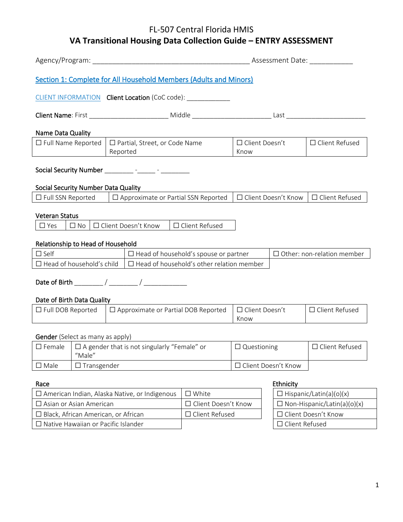|                                                                                                                                                                                          |  |                                                                                                                      | Assessment Date:                                          |                          |                  |                       |
|------------------------------------------------------------------------------------------------------------------------------------------------------------------------------------------|--|----------------------------------------------------------------------------------------------------------------------|-----------------------------------------------------------|--------------------------|------------------|-----------------------|
|                                                                                                                                                                                          |  | Section 1: Complete for All Household Members (Adults and Minors)                                                    |                                                           |                          |                  |                       |
|                                                                                                                                                                                          |  | CLIENT INFORMATION Client Location (CoC code): ____________                                                          |                                                           |                          |                  |                       |
|                                                                                                                                                                                          |  |                                                                                                                      |                                                           |                          |                  |                       |
| Name Data Quality                                                                                                                                                                        |  |                                                                                                                      |                                                           |                          |                  |                       |
| □ Full Name Reported                                                                                                                                                                     |  | $\Box$ Partial, Street, or Code Name<br>Reported<br><u> 1989 - Andrea Station Books, amerikansk politik (</u>        |                                                           | □ Client Doesn't<br>Know |                  | □ Client Refused      |
|                                                                                                                                                                                          |  | Social Security Number ___________ -______ - ________                                                                |                                                           |                          |                  |                       |
| Social Security Number Data Quality                                                                                                                                                      |  |                                                                                                                      |                                                           |                          |                  |                       |
|                                                                                                                                                                                          |  | $\Box$ Full SSN Reported $\Box$ Approximate or Partial SSN Reported $\Box$ Client Doesn't Know $\Box$ Client Refused |                                                           |                          |                  |                       |
| <b>Veteran Status</b><br>□ Client Refused<br>□ Client Doesn't Know<br>$\Box$ Yes<br>$\square$ No                                                                                         |  |                                                                                                                      |                                                           |                          |                  |                       |
| Relationship to Head of Household                                                                                                                                                        |  |                                                                                                                      |                                                           |                          |                  |                       |
| $\square$ Self<br>$\Box$ Head of household's spouse or partner<br>$\Box$ Other: non-relation member<br>$\Box$ Head of household's child $\Box$ Head of household's other relation member |  |                                                                                                                      |                                                           |                          |                  |                       |
|                                                                                                                                                                                          |  |                                                                                                                      |                                                           |                          |                  |                       |
| Date of Birth Data Quality<br>□ Approximate or Partial DOB Reported<br>$\Box$ Full DOB Reported                                                                                          |  |                                                                                                                      | □ Client Doesn't<br>Know                                  |                          | □ Client Refused |                       |
| Gender (Select as many as apply)                                                                                                                                                         |  |                                                                                                                      |                                                           |                          |                  |                       |
| $\Box$ Female $\Box$ A gender that is not singularly "Female" or<br>"Male"                                                                                                               |  | $\square$ Questioning                                                                                                |                                                           | □ Client Refused         |                  |                       |
| $\Box$ Transgender<br>$\square$ Male                                                                                                                                                     |  |                                                                                                                      | □ Client Doesn't Know                                     |                          |                  |                       |
| Ethnicity<br>Race                                                                                                                                                                        |  |                                                                                                                      |                                                           |                          |                  |                       |
| □ American Indian, Alaska Native, or Indigenous                                                                                                                                          |  |                                                                                                                      | $\square$ White<br>$\Box$ Hispanic/Latin(a)(o)(x)         |                          |                  |                       |
| $\square$ Asian or Asian American                                                                                                                                                        |  |                                                                                                                      | Client Doesn't Know<br>$\Box$ Non-Hispanic/Latin(a)(o)(x) |                          |                  |                       |
| $\Box$ Black, African American, or African                                                                                                                                               |  |                                                                                                                      | □ Client Refused                                          |                          |                  | □ Client Doesn't Know |
| □ Native Hawaiian or Pacific Islander                                                                                                                                                    |  |                                                                                                                      |                                                           |                          | □ Client Refused |                       |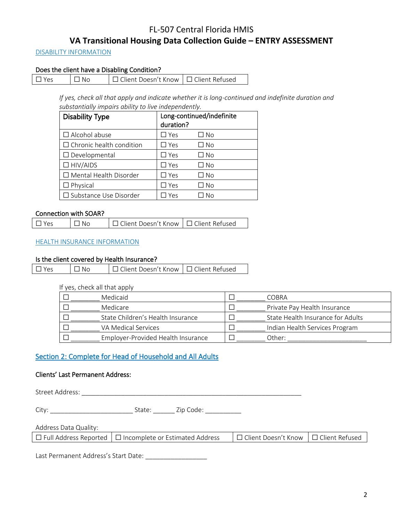### DISABILITY INFORMATION

### Does the client have a Disabling Condition?

| $\Box$ Yes | $\overline{\phantom{a}}$ $\overline{\phantom{a}}$ No | □ Client Doesn't Know   □ Client Refused |  |
|------------|------------------------------------------------------|------------------------------------------|--|
|------------|------------------------------------------------------|------------------------------------------|--|

*If yes, check all that apply and indicate whether it is long-continued and indefinite duration and substantially impairs ability to live independently.*

| <b>Disability Type</b>          | duration?     | Long-continued/indefinite |
|---------------------------------|---------------|---------------------------|
| $\Box$ Alcohol abuse            | $\square$ Yes | □ No                      |
| $\Box$ Chronic health condition | $\square$ Yes | $\square$ No              |
| $\Box$ Developmental            | $\Box$ Yes    | $\square$ No              |
| $\Box$ HIV/AIDS                 | $\square$ Yes | □ No                      |
| $\Box$ Mental Health Disorder   | $\square$ Yes | □ No                      |
| $\Box$ Physical                 | $\square$ Yes | $\Box$ No                 |
| $\Box$ Substance Use Disorder   | Yes           | No                        |

### Connection with SOAR?

### HEALTH INSURANCE INFORMATION

### Is the client covered by Health Insurance?

| $\overline{\phantom{a}}$ $\overline{\phantom{a}}$ No<br> □ Client Doesn't Know  □ Client Refused<br>$\Box$ Yes |
|----------------------------------------------------------------------------------------------------------------|
|----------------------------------------------------------------------------------------------------------------|

#### If yes, check all that apply

| Medicaid                           | COBRA                             |
|------------------------------------|-----------------------------------|
| Medicare                           | Private Pay Health Insurance      |
| State Children's Health Insurance  | State Health Insurance for Adults |
| VA Medical Services                | Indian Health Services Program    |
| Employer-Provided Health Insurance | Other:                            |

## Section 2: Complete for Head of Household and All Adults

### Clients' Last Permanent Address:

Street Address: \_\_\_\_\_\_\_\_\_\_\_\_\_\_\_\_\_\_\_\_\_\_\_\_\_\_\_\_\_\_\_\_\_\_\_\_\_\_\_\_\_\_\_\_\_\_\_\_\_\_\_\_\_\_\_\_\_\_\_\_\_

City: \_\_\_\_\_\_\_\_\_\_\_\_\_\_\_\_\_\_\_\_\_\_\_ State: \_\_\_\_\_\_ Zip Code: \_\_\_\_\_\_\_\_\_\_

| Address Data Quality: |  |  |
|-----------------------|--|--|
|-----------------------|--|--|

Last Permanent Address's Start Date: \_\_\_\_\_\_\_\_\_\_\_\_\_\_\_\_\_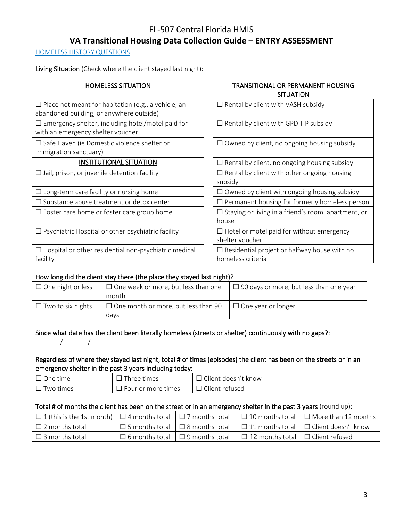### HOMELESS HISTORY QUESTIONS

Living Situation (Check where the client stayed last night):

### HOMELESS SITUATION TRANSITIONAL OR PERMANENT HOUSING SITUATION

| $\Box$ Place not meant for habitation (e.g., a vehicle, an<br>abandoned building, or anywhere outside) | $\Box$ Rental by client with VASH subsidy                                |
|--------------------------------------------------------------------------------------------------------|--------------------------------------------------------------------------|
| $\Box$ Emergency shelter, including hotel/motel paid for<br>with an emergency shelter voucher          | $\Box$ Rental by client with GPD TIP subsidy                             |
| $\Box$ Safe Haven (ie Domestic violence shelter or<br>Immigration sanctuary)                           | $\Box$ Owned by client, no ongoing housing subsidy                       |
| <b>INSTITUTIONAL SITUATION</b>                                                                         | $\Box$ Rental by client, no ongoing housing subsidy                      |
| $\Box$ Jail, prison, or juvenile detention facility                                                    | $\Box$ Rental by client with other ongoing housing<br>subsidy            |
| $\Box$ Long-term care facility or nursing home                                                         | $\Box$ Owned by client with ongoing housing subsidy                      |
| $\Box$ Substance abuse treatment or detox center                                                       | $\Box$ Permanent housing for formerly homeless person                    |
| $\Box$ Foster care home or foster care group home                                                      | $\Box$ Staying or living in a friend's room, apartment, or<br>house      |
| $\Box$ Psychiatric Hospital or other psychiatric facility                                              | $\Box$ Hotel or motel paid for without emergency<br>shelter voucher      |
| $\Box$ Hospital or other residential non-psychiatric medical<br>facility                               | $\Box$ Residential project or halfway house with no<br>homeless criteria |

### How long did the client stay there (the place they stayed last night)?

| $\Box$ One night or less | $\Box$ One week or more, but less than one | $\Box$ 90 days or more, but less than one year |
|--------------------------|--------------------------------------------|------------------------------------------------|
|                          | month                                      |                                                |
| $\Box$ Two to six nights | $\Box$ One month or more, but less than 90 | $\Box$ One year or longer                      |
|                          | davs                                       |                                                |

# Since what date has the client been literally homeless (streets or shelter) continuously with no gaps?:

### Regardless of where they stayed last night, total # of times (episodes) the client has been on the streets or in an emergency shelter in the past 3 years including today:

| $\Box$ One time  | $\Box$ Three times        | $\Box$ Client doesn't know |
|------------------|---------------------------|----------------------------|
| $\Box$ Two times | $\Box$ Four or more times | $\Box$ Client refused      |

### Total # of months the client has been on the street or in an emergency shelter in the past 3 years (round up):

| $\Box$ 1 (this is the 1st month) $\Box$ 4 months total $\Box$ 7 months total |                                             |                                              | $\Box$ 10 months total $\Box$ More than 12 months                                             |
|------------------------------------------------------------------------------|---------------------------------------------|----------------------------------------------|-----------------------------------------------------------------------------------------------|
| $\Box$ 2 months total                                                        |                                             |                                              | $\Box$ 5 months total $\Box$ 8 months total $\Box$ 11 months total $\Box$ Client doesn't know |
| $\Box$ 3 months total                                                        | $\Box$ 6 months total $\Box$ 9 months total | $\Box$ 12 months total $\Box$ Client refused |                                                                                               |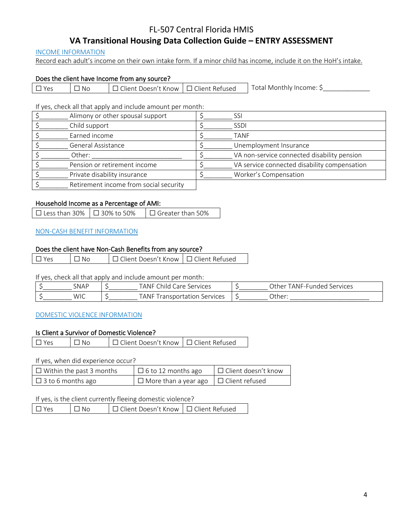# FL-507 Central Florida HMIS

# **VA Transitional Housing Data Collection Guide – ENTRY ASSESSMENT**

### INCOME INFORMATION

Record each adult's income on their own intake form. If a minor child has income, include it on the HoH's intake.

### Does the client have Income from any source?

| Yes | .No | ⊔ Client Doesn't Know " | $\Box$ Client Refused | Total Monthly Income: |
|-----|-----|-------------------------|-----------------------|-----------------------|
|-----|-----|-------------------------|-----------------------|-----------------------|

If yes, check all that apply and include amount per month:

| Alimony or other spousal support       | SSI                                          |
|----------------------------------------|----------------------------------------------|
| Child support                          | <b>SSDI</b>                                  |
| Earned income                          | <b>TANF</b>                                  |
| General Assistance                     | Unemployment Insurance                       |
| Other:                                 | VA non-service connected disability pension  |
| Pension or retirement income           | VA service connected disability compensation |
| Private disability insurance           | Worker's Compensation                        |
| Retirement income from social security |                                              |

### Household Income as a Percentage of AMI:

| □ Less than 30% $\Box$ 30% to 50% | $\Box$ Greater than 50% |
|-----------------------------------|-------------------------|
|                                   |                         |

### NON-CASH BENEFIT INFORMATION

#### Does the client have Non-Cash Benefits from any source?

☐ Yes ☐ No ☐ Client Doesn't Know ☐ Client Refused

#### If yes, check all that apply and include amount per month:

| <b>SNAF</b> | $\sim$<br>ANF<br>Services<br>`hili | . her^<br>Services<br>$\Delta$ NIF-FI<br>.<br>۱۱۲۱٬۱۵ |
|-------------|------------------------------------|-------------------------------------------------------|
| <b>WIC</b>  | ANF<br>Services<br>isportation     | )ther:                                                |

### DOMESTIC VIOLENCE INFORMATION

#### Is Client a Survivor of Domestic Violence?

| $\Box$ Yes | $\mathsf{I}$ $\mathsf{N}$ $\mathsf{N}$ $\mathsf{O}$ | □ Client Doesn't Know   □ Client Refused |  |
|------------|-----------------------------------------------------|------------------------------------------|--|
|            |                                                     |                                          |  |

#### If yes, when did experience occur?

| $\Box$ Within the past 3 months | $\Box$ 6 to 12 months ago                         | $\Box$ Client doesn't know |
|---------------------------------|---------------------------------------------------|----------------------------|
| $\Box$ 3 to 6 months ago        | $\Box$ More than a year ago $\Box$ Client refused |                            |

#### If yes, is the client currently fleeing domestic violence?

| $\Box Y$ Ps | $\Box$ No | □ Client Doesn't Know   □ Client Refused |  |
|-------------|-----------|------------------------------------------|--|